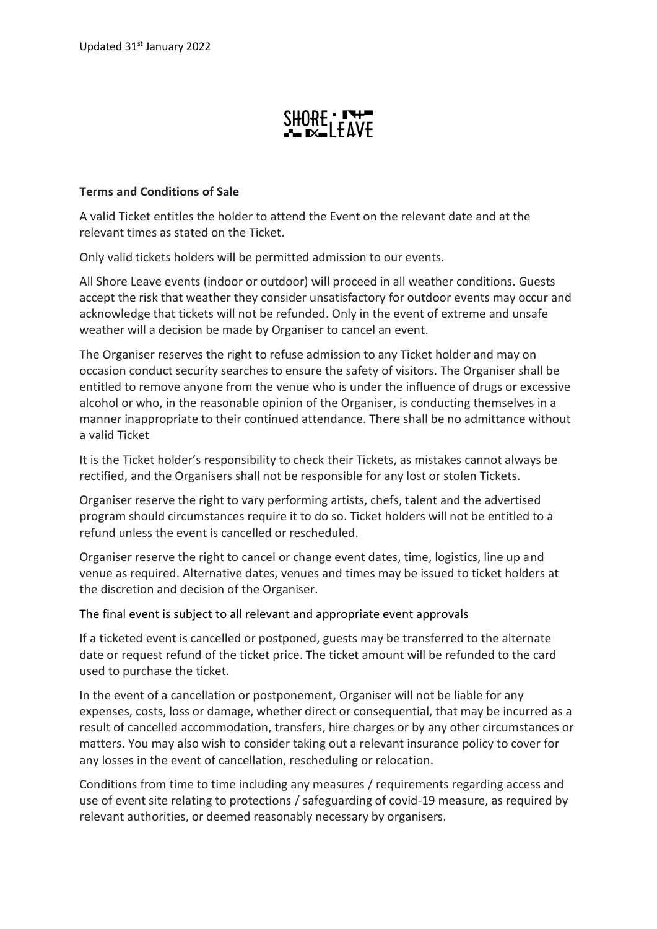## $SHORE \cdot I^+$

## **Terms and Conditions of Sale**

A valid Ticket entitles the holder to attend the Event on the relevant date and at the relevant times as stated on the Ticket.

Only valid tickets holders will be permitted admission to our events.

All Shore Leave events (indoor or outdoor) will proceed in all weather conditions. Guests accept the risk that weather they consider unsatisfactory for outdoor events may occur and acknowledge that tickets will not be refunded. Only in the event of extreme and unsafe weather will a decision be made by Organiser to cancel an event.

The Organiser reserves the right to refuse admission to any Ticket holder and may on occasion conduct security searches to ensure the safety of visitors. The Organiser shall be entitled to remove anyone from the venue who is under the influence of drugs or excessive alcohol or who, in the reasonable opinion of the Organiser, is conducting themselves in a manner inappropriate to their continued attendance. There shall be no admittance without a valid Ticket

It is the Ticket holder's responsibility to check their Tickets, as mistakes cannot always be rectified, and the Organisers shall not be responsible for any lost or stolen Tickets.

Organiser reserve the right to vary performing artists, chefs, talent and the advertised program should circumstances require it to do so. Ticket holders will not be entitled to a refund unless the event is cancelled or rescheduled.

Organiser reserve the right to cancel or change event dates, time, logistics, line up and venue as required. Alternative dates, venues and times may be issued to ticket holders at the discretion and decision of the Organiser.

## The final event is subject to all relevant and appropriate event approvals

If a ticketed event is cancelled or postponed, guests may be transferred to the alternate date or request refund of the ticket price. The ticket amount will be refunded to the card used to purchase the ticket.

In the event of a cancellation or postponement, Organiser will not be liable for any expenses, costs, loss or damage, whether direct or consequential, that may be incurred as a result of cancelled accommodation, transfers, hire charges or by any other circumstances or matters. You may also wish to consider taking out a relevant insurance policy to cover for any losses in the event of cancellation, rescheduling or relocation.

Conditions from time to time including any measures / requirements regarding access and use of event site relating to protections / safeguarding of covid-19 measure, as required by relevant authorities, or deemed reasonably necessary by organisers.